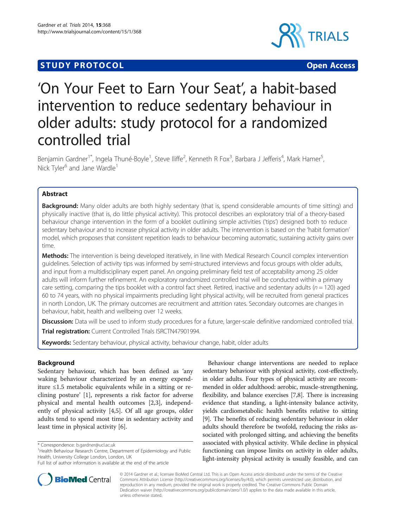# **STUDY PROTOCOL CONSUMING THE CONSUMING OPEN ACCESS**



# 'On Your Feet to Earn Your Seat', a habit-based intervention to reduce sedentary behaviour in older adults: study protocol for a randomized controlled trial

Benjamin Gardner<sup>1\*</sup>, Ingela Thuné-Boyle<sup>1</sup>, Steve Iliffe<sup>2</sup>, Kenneth R Fox<sup>3</sup>, Barbara J Jefferis<sup>4</sup>, Mark Hamer<sup>5</sup> , Nick Tyler<sup>6</sup> and Jane Wardle<sup>1</sup>

# Abstract

Background: Many older adults are both highly sedentary (that is, spend considerable amounts of time sitting) and physically inactive (that is, do little physical activity). This protocol describes an exploratory trial of a theory-based behaviour change intervention in the form of a booklet outlining simple activities ('tips') designed both to reduce sedentary behaviour and to increase physical activity in older adults. The intervention is based on the 'habit formation' model, which proposes that consistent repetition leads to behaviour becoming automatic, sustaining activity gains over time.

Methods: The intervention is being developed iteratively, in line with Medical Research Council complex intervention guidelines. Selection of activity tips was informed by semi-structured interviews and focus groups with older adults, and input from a multidisciplinary expert panel. An ongoing preliminary field test of acceptability among 25 older adults will inform further refinement. An exploratory randomized controlled trial will be conducted within a primary care setting, comparing the tips booklet with a control fact sheet. Retired, inactive and sedentary adults ( $n = 120$ ) aged 60 to 74 years, with no physical impairments precluding light physical activity, will be recruited from general practices in north London, UK. The primary outcomes are recruitment and attrition rates. Secondary outcomes are changes in behaviour, habit, health and wellbeing over 12 weeks.

Discussion: Data will be used to inform study procedures for a future, larger-scale definitive randomized controlled trial.

Trial registration: Current Controlled Trials [ISRCTN47901994.](http://www.controlled-trials.com/ISRCTN47901994/)

Keywords: Sedentary behaviour, physical activity, behaviour change, habit, older adults

# Background

Sedentary behaviour, which has been defined as 'any waking behaviour characterized by an energy expenditure ≤1.5 metabolic equivalents while in a sitting or reclining posture' [\[1](#page-11-0)], represents a risk factor for adverse physical and mental health outcomes [[2](#page-11-0),[3\]](#page-11-0), independently of physical activity [[4,5\]](#page-11-0). Of all age groups, older adults tend to spend most time in sedentary activity and least time in physical activity [\[6\]](#page-11-0).





© 2014 Gardner et al.; licensee BioMed Central Ltd. This is an Open Access article distributed under the terms of the Creative Commons Attribution License [\(http://creativecommons.org/licenses/by/4.0\)](http://creativecommons.org/licenses/by/4.0), which permits unrestricted use, distribution, and reproduction in any medium, provided the original work is properly credited. The Creative Commons Public Domain Dedication waiver [\(http://creativecommons.org/publicdomain/zero/1.0/](http://creativecommons.org/publicdomain/zero/1.0/)) applies to the data made available in this article, unless otherwise stated.

<sup>\*</sup> Correspondence: [b.gardner@ucl.ac.uk](mailto:b.gardner@ucl.ac.uk) <sup>1</sup>

<sup>&</sup>lt;sup>1</sup> Health Behaviour Research Centre, Department of Epidemiology and Public Health, University College London, London, UK

Full list of author information is available at the end of the article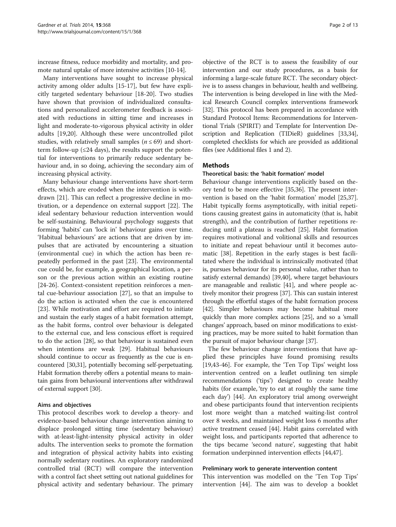increase fitness, reduce morbidity and mortality, and promote natural uptake of more intensive activities [\[10-14](#page-11-0)].

Many interventions have sought to increase physical activity among older adults [[15](#page-11-0)-[17\]](#page-11-0), but few have explicitly targeted sedentary behaviour [[18](#page-11-0)-[20\]](#page-11-0). Two studies have shown that provision of individualized consultations and personalized accelerometer feedback is associated with reductions in sitting time and increases in light and moderate-to-vigorous physical activity in older adults [\[19,20](#page-11-0)]. Although these were uncontrolled pilot studies, with relatively small samples ( $n \leq 69$ ) and shortterm follow-up ( $\leq$ 24 days), the results support the potential for interventions to primarily reduce sedentary behaviour and, in so doing, achieving the secondary aim of increasing physical activity.

Many behaviour change interventions have short-term effects, which are eroded when the intervention is withdrawn [[21](#page-11-0)]. This can reflect a progressive decline in motivation, or a dependence on external support [[22](#page-11-0)]. The ideal sedentary behaviour reduction intervention would be self-sustaining. Behavioural psychology suggests that forming 'habits' can 'lock in' behaviour gains over time. 'Habitual behaviours' are actions that are driven by impulses that are activated by encountering a situation (environmental cue) in which the action has been repeatedly performed in the past [[23](#page-11-0)]. The environmental cue could be, for example, a geographical location, a person or the previous action within an existing routine [[24-26](#page-11-0)]. Context-consistent repetition reinforces a mental cue-behaviour association [\[27\]](#page-11-0), so that an impulse to do the action is activated when the cue is encountered [[23\]](#page-11-0). While motivation and effort are required to initiate and sustain the early stages of a habit formation attempt, as the habit forms, control over behaviour is delegated to the external cue, and less conscious effort is required to do the action [[28\]](#page-11-0), so that behaviour is sustained even when intentions are weak [[29\]](#page-11-0). Habitual behaviours should continue to occur as frequently as the cue is encountered [\[30,31\]](#page-11-0), potentially becoming self-perpetuating. Habit formation thereby offers a potential means to maintain gains from behavioural interventions after withdrawal of external support [\[30\]](#page-11-0).

#### Aims and objectives

This protocol describes work to develop a theory- and evidence-based behaviour change intervention aiming to displace prolonged sitting time (sedentary behaviour) with at-least-light-intensity physical activity in older adults. The intervention seeks to promote the formation and integration of physical activity habits into existing normally sedentary routines. An exploratory randomized controlled trial (RCT) will compare the intervention with a control fact sheet setting out national guidelines for physical activity and sedentary behaviour. The primary

objective of the RCT is to assess the feasibility of our intervention and our study procedures, as a basis for informing a large-scale future RCT. The secondary objective is to assess changes in behaviour, health and wellbeing. The intervention is being developed in line with the Medical Research Council complex interventions framework [[32](#page-11-0)]. This protocol has been prepared in accordance with Standard Protocol Items: Recommendations for Interventional Trials (SPIRIT) and Template for Intervention Description and Replication (TIDieR) guidelines [\[33,34](#page-11-0)], completed checklists for which are provided as additional files (see Additional files [1](#page-10-0) and [2\)](#page-10-0).

# **Methods**

# Theoretical basis: the 'habit formation' model

Behaviour change interventions explicitly based on theory tend to be more effective [\[35,36](#page-11-0)]. The present intervention is based on the 'habit formation' model [\[25,37](#page-11-0)]. Habit typically forms asymptotically, with initial repetitions causing greatest gains in automaticity (that is, habit strength), and the contribution of further repetitions reducing until a plateau is reached [[25\]](#page-11-0). Habit formation requires motivational and volitional skills and resources to initiate and repeat behaviour until it becomes automatic [\[38\]](#page-11-0). Repetition in the early stages is best facilitated where the individual is intrinsically motivated (that is, pursues behaviour for its personal value, rather than to satisfy external demands) [[39,40\]](#page-11-0), where target behaviours are manageable and realistic [\[41](#page-11-0)], and where people actively monitor their progress [\[37\]](#page-11-0). This can sustain interest through the effortful stages of the habit formation process [[42](#page-11-0)]. Simpler behaviours may become habitual more quickly than more complex actions [[25](#page-11-0)], and so a 'small changes' approach, based on minor modifications to existing practices, may be more suited to habit formation than the pursuit of major behaviour change [\[37\]](#page-11-0).

The few behaviour change interventions that have applied these principles have found promising results [[19,43-](#page-11-0)[46](#page-12-0)]. For example, the 'Ten Top Tips' weight loss intervention centred on a leaflet outlining ten simple recommendations ('tips') designed to create healthy habits (for example, 'try to eat at roughly the same time each day') [\[44\]](#page-11-0). An exploratory trial among overweight and obese participants found that intervention recipients lost more weight than a matched waiting-list control over 8 weeks, and maintained weight loss 6 months after active treatment ceased [[44\]](#page-11-0). Habit gains correlated with weight loss, and participants reported that adherence to the tips became 'second nature', suggesting that habit formation underpinned intervention effects [[44](#page-11-0),[47](#page-12-0)].

#### Preliminary work to generate intervention content

This intervention was modelled on the 'Ten Top Tips' intervention [[44](#page-11-0)]. The aim was to develop a booklet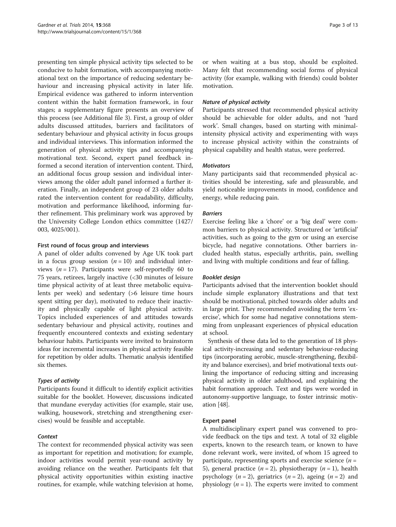presenting ten simple physical activity tips selected to be conducive to habit formation, with accompanying motivational text on the importance of reducing sedentary behaviour and increasing physical activity in later life. Empirical evidence was gathered to inform intervention content within the habit formation framework, in four stages; a supplementary figure presents an overview of this process (see Additional file [3\)](#page-10-0). First, a group of older adults discussed attitudes, barriers and facilitators of sedentary behaviour and physical activity in focus groups and individual interviews. This information informed the generation of physical activity tips and accompanying motivational text. Second, expert panel feedback informed a second iteration of intervention content. Third, an additional focus group session and individual interviews among the older adult panel informed a further iteration. Finally, an independent group of 23 older adults rated the intervention content for readability, difficulty, motivation and performance likelihood, informing further refinement. This preliminary work was approved by the University College London ethics committee (1427/ 003, 4025/001).

# First round of focus group and interviews

A panel of older adults convened by Age UK took part in a focus group session  $(n = 10)$  and individual interviews ( $n = 17$ ). Participants were self-reportedly 60 to 75 years, retirees, largely inactive (<30 minutes of leisure time physical activity of at least three metabolic equivalents per week) and sedentary (>6 leisure time hours spent sitting per day), motivated to reduce their inactivity and physically capable of light physical activity. Topics included experiences of and attitudes towards sedentary behaviour and physical activity, routines and frequently encountered contexts and existing sedentary behaviour habits. Participants were invited to brainstorm ideas for incremental increases in physical activity feasible for repetition by older adults. Thematic analysis identified six themes.

# Types of activity

Participants found it difficult to identify explicit activities suitable for the booklet. However, discussions indicated that mundane everyday activities (for example, stair use, walking, housework, stretching and strengthening exercises) would be feasible and acceptable.

# **Context**

The context for recommended physical activity was seen as important for repetition and motivation; for example, indoor activities would permit year-round activity by avoiding reliance on the weather. Participants felt that physical activity opportunities within existing inactive routines, for example, while watching television at home, or when waiting at a bus stop, should be exploited. Many felt that recommending social forms of physical activity (for example, walking with friends) could bolster motivation.

# Nature of physical activity

Participants stressed that recommended physical activity should be achievable for older adults, and not 'hard work'. Small changes, based on starting with minimalintensity physical activity and experimenting with ways to increase physical activity within the constraints of physical capability and health status, were preferred.

# **Motivators**

Many participants said that recommended physical activities should be interesting, safe and pleasurable, and yield noticeable improvements in mood, confidence and energy, while reducing pain.

# **Barriers**

Exercise feeling like a 'chore' or a 'big deal' were common barriers to physical activity. Structured or 'artificial' activities, such as going to the gym or using an exercise bicycle, had negative connotations. Other barriers included health status, especially arthritis, pain, swelling and living with multiple conditions and fear of falling.

# Booklet design

Participants advised that the intervention booklet should include simple explanatory illustrations and that text should be motivational, pitched towards older adults and in large print. They recommended avoiding the term 'exercise', which for some had negative connotations stemming from unpleasant experiences of physical education at school.

Synthesis of these data led to the generation of 18 physical activity-increasing and sedentary behaviour-reducing tips (incorporating aerobic, muscle-strengthening, flexibility and balance exercises), and brief motivational texts outlining the importance of reducing sitting and increasing physical activity in older adulthood, and explaining the habit formation approach. Text and tips were worded in autonomy-supportive language, to foster intrinsic motivation [[48](#page-12-0)].

# Expert panel

A multidisciplinary expert panel was convened to provide feedback on the tips and text. A total of 32 eligible experts, known to the research team, or known to have done relevant work, were invited, of whom 15 agreed to participate, representing sports and exercise science  $(n =$ 5), general practice ( $n = 2$ ), physiotherapy ( $n = 1$ ), health psychology ( $n = 2$ ), geriatrics ( $n = 2$ ), ageing ( $n = 2$ ) and physiology ( $n = 1$ ). The experts were invited to comment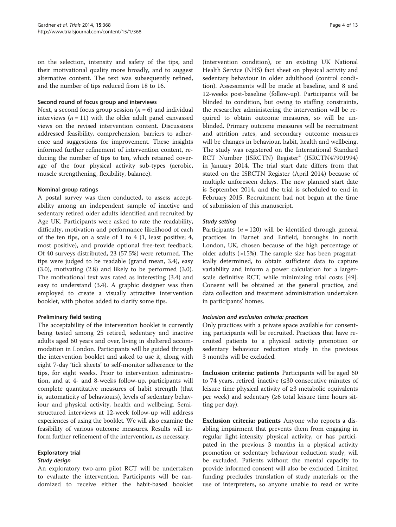on the selection, intensity and safety of the tips, and their motivational quality more broadly, and to suggest alternative content. The text was subsequently refined, and the number of tips reduced from 18 to 16.

#### Second round of focus group and interviews

Next, a second focus group session  $(n = 6)$  and individual interviews  $(n = 11)$  with the older adult panel canvassed views on the revised intervention content. Discussions addressed feasibility, comprehension, barriers to adherence and suggestions for improvement. These insights informed further refinement of intervention content, reducing the number of tips to ten, which retained coverage of the four physical activity sub-types (aerobic, muscle strengthening, flexibility, balance).

# Nominal group ratings

A postal survey was then conducted, to assess acceptability among an independent sample of inactive and sedentary retired older adults identified and recruited by Age UK. Participants were asked to rate the readability, difficulty, motivation and performance likelihood of each of the ten tips, on a scale of 1 to 4 (1, least positive; 4, most positive), and provide optional free-text feedback. Of 40 surveys distributed, 23 (57.5%) were returned. The tips were judged to be readable (grand mean, 3.4), easy (3.0), motivating (2.8) and likely to be performed (3.0). The motivational text was rated as interesting (3.4) and easy to understand (3.4). A graphic designer was then employed to create a visually attractive intervention booklet, with photos added to clarify some tips.

# Preliminary field testing

The acceptability of the intervention booklet is currently being tested among 25 retired, sedentary and inactive adults aged 60 years and over, living in sheltered accommodation in London. Participants will be guided through the intervention booklet and asked to use it, along with eight 7-day 'tick sheets' to self-monitor adherence to the tips, for eight weeks. Prior to intervention administration, and at 4- and 8-weeks follow-up, participants will complete quantitative measures of habit strength (that is, automaticity of behaviours), levels of sedentary behaviour and physical activity, health and wellbeing. Semistructured interviews at 12-week follow-up will address experiences of using the booklet. We will also examine the feasibility of various outcome measures. Results will inform further refinement of the intervention, as necessary.

# Exploratory trial

# Study design

An exploratory two-arm pilot RCT will be undertaken to evaluate the intervention. Participants will be randomized to receive either the habit-based booklet

(intervention condition), or an existing UK National Health Service (NHS) fact sheet on physical activity and sedentary behaviour in older adulthood (control condition). Assessments will be made at baseline, and 8 and 12-weeks post-baseline (follow-up). Participants will be blinded to condition, but owing to staffing constraints, the researcher administering the intervention will be required to obtain outcome measures, so will be unblinded. Primary outcome measures will be recruitment and attrition rates, and secondary outcome measures will be changes in behaviour, habit, health and wellbeing. The study was registered on the International Standard RCT Number (ISRCTN) Register<sup>a</sup> (ISRCTN47901994) in January 2014. The trial start date differs from that stated on the ISRCTN Register (April 2014) because of multiple unforeseen delays. The new planned start date is September 2014, and the trial is scheduled to end in February 2015. Recruitment had not begun at the time of submission of this manuscript.

# Study setting

Participants ( $n = 120$ ) will be identified through general practices in Barnet and Enfield, boroughs in north London, UK, chosen because of the high percentage of older adults ( $\approx$ 15%). The sample size has been pragmatically determined, to obtain sufficient data to capture variability and inform a power calculation for a largerscale definitive RCT, while minimizing trial costs [\[49](#page-12-0)]. Consent will be obtained at the general practice, and data collection and treatment administration undertaken in participants' homes.

# Inclusion and exclusion criteria: practices

Only practices with a private space available for consenting participants will be recruited. Practices that have recruited patients to a physical activity promotion or sedentary behaviour reduction study in the previous 3 months will be excluded.

Inclusion criteria: patients Participants will be aged 60 to 74 years, retired, inactive (≤30 consecutive minutes of leisure time physical activity of ≥3 metabolic equivalents per week) and sedentary (≥6 total leisure time hours sitting per day).

Exclusion criteria: patients Anyone who reports a disabling impairment that prevents them from engaging in regular light-intensity physical activity, or has participated in the previous 3 months in a physical activity promotion or sedentary behaviour reduction study, will be excluded. Patients without the mental capacity to provide informed consent will also be excluded. Limited funding precludes translation of study materials or the use of interpreters, so anyone unable to read or write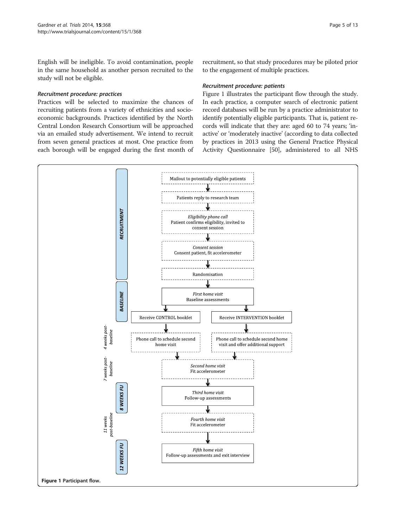English will be ineligible. To avoid contamination, people in the same household as another person recruited to the study will not be eligible.

#### Recruitment procedure: practices

Practices will be selected to maximize the chances of recruiting patients from a variety of ethnicities and socioeconomic backgrounds. Practices identified by the North Central London Research Consortium will be approached via an emailed study advertisement. We intend to recruit from seven general practices at most. One practice from each borough will be engaged during the first month of

recruitment, so that study procedures may be piloted prior to the engagement of multiple practices.

#### Recruitment procedure: patients

Figure 1 illustrates the participant flow through the study. In each practice, a computer search of electronic patient record databases will be run by a practice administrator to identify potentially eligible participants. That is, patient records will indicate that they are: aged 60 to 74 years; 'inactive' or 'moderately inactive' (according to data collected by practices in 2013 using the General Practice Physical Activity Questionnaire [\[50](#page-12-0)], administered to all NHS

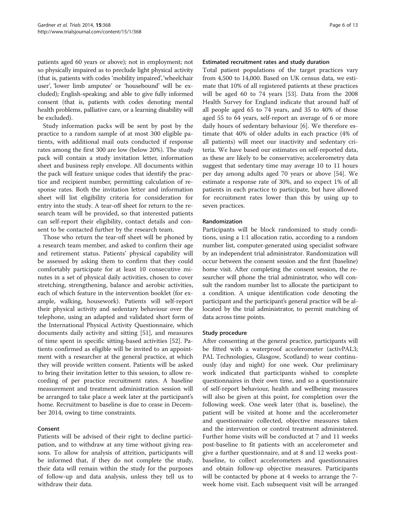patients aged 60 years or above); not in employment; not so physically impaired as to preclude light physical activity (that is, patients with codes 'mobility impaired', 'wheelchair user', 'lower limb amputee' or 'housebound' will be excluded); English-speaking; and able to give fully informed consent (that is, patients with codes denoting mental health problems, palliative care, or a learning disability will be excluded).

Study information packs will be sent by post by the practice to a random sample of at most 300 eligible patients, with additional mail outs conducted if response rates among the first 300 are low (below 20%). The study pack will contain a study invitation letter, information sheet and business reply envelope. All documents within the pack will feature unique codes that identify the practice and recipient number, permitting calculation of response rates. Both the invitation letter and information sheet will list eligibility criteria for consideration for entry into the study. A tear-off sheet for return to the research team will be provided, so that interested patients can self-report their eligibility, contact details and consent to be contacted further by the research team.

Those who return the tear-off sheet will be phoned by a research team member, and asked to confirm their age and retirement status. Patients' physical capability will be assessed by asking them to confirm that they could comfortably participate for at least 10 consecutive minutes in a set of physical daily activities, chosen to cover stretching, strengthening, balance and aerobic activities, each of which feature in the intervention booklet (for example, walking, housework). Patients will self-report their physical activity and sedentary behaviour over the telephone, using an adapted and validated short form of the International Physical Activity Questionnaire, which documents daily activity and sitting [\[51\]](#page-12-0), and measures of time spent in specific sitting-based activities [\[52](#page-12-0)]. Patients confirmed as eligible will be invited to an appointment with a researcher at the general practice, at which they will provide written consent. Patients will be asked to bring their invitation letter to this session, to allow recording of per practice recruitment rates. A baseline measurement and treatment administration session will be arranged to take place a week later at the participant's home. Recruitment to baseline is due to cease in December 2014, owing to time constraints.

# Consent

Patients will be advised of their right to decline participation, and to withdraw at any time without giving reasons. To allow for analysis of attrition, participants will be informed that, if they do not complete the study, their data will remain within the study for the purposes of follow-up and data analysis, unless they tell us to withdraw their data.

#### Estimated recruitment rates and study duration

Total patient populations of the target practices vary from 4,500 to 14,000. Based on UK census data, we estimate that 10% of all registered patients at these practices will be aged 60 to 74 years [[53\]](#page-12-0). Data from the 2008 Health Survey for England indicate that around half of all people aged 65 to 74 years, and 35 to 40% of those aged 55 to 64 years, self-report an average of 6 or more daily hours of sedentary behaviour [[6\]](#page-11-0). We therefore estimate that 40% of older adults in each practice (4% of all patients) will meet our inactivity and sedentary criteria. We have based our estimates on self-reported data, as these are likely to be conservative; accelerometry data suggest that sedentary time may average 10 to 11 hours per day among adults aged 70 years or above [\[54\]](#page-12-0). We estimate a response rate of 30%, and so expect 1% of all patients in each practice to participate, but have allowed for recruitment rates lower than this by using up to seven practices.

#### Randomization

Participants will be block randomized to study conditions, using a 1:1 allocation ratio, according to a random number list, computer-generated using specialist software by an independent trial administrator. Randomization will occur between the consent session and the first (baseline) home visit. After completing the consent session, the researcher will phone the trial administrator, who will consult the random number list to allocate the participant to a condition. A unique identification code denoting the participant and the participant's general practice will be allocated by the trial administrator, to permit matching of data across time points.

#### Study procedure

After consenting at the general practice, participants will be fitted with a waterproof accelerometer (activPAL3; PAL Technologies, Glasgow, Scotland) to wear continuously (day and night) for one week. Our preliminary work indicated that participants wished to complete questionnaires in their own time, and so a questionnaire of self-report behaviour, health and wellbeing measures will also be given at this point, for completion over the following week. One week later (that is, baseline), the patient will be visited at home and the accelerometer and questionnaire collected, objective measures taken and the intervention or control treatment administered. Further home visits will be conducted at 7 and 11 weeks post-baseline to fit patients with an accelerometer and give a further questionnaire, and at 8 and 12 weeks postbaseline, to collect accelerometers and questionnaires and obtain follow-up objective measures. Participants will be contacted by phone at 4 weeks to arrange the 7 week home visit. Each subsequent visit will be arranged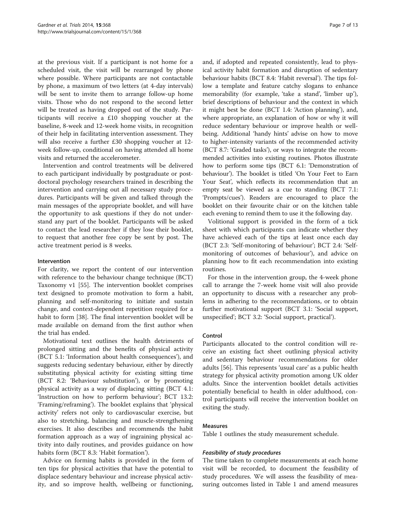at the previous visit. If a participant is not home for a scheduled visit, the visit will be rearranged by phone where possible. Where participants are not contactable by phone, a maximum of two letters (at 4-day intervals) will be sent to invite them to arrange follow-up home visits. Those who do not respond to the second letter will be treated as having dropped out of the study. Participants will receive a £10 shopping voucher at the baseline, 8-week and 12-week home visits, in recognition of their help in facilitating intervention assessment. They will also receive a further £30 shopping voucher at 12 week follow-up, conditional on having attended all home visits and returned the accelerometer.

Intervention and control treatments will be delivered to each participant individually by postgraduate or postdoctoral psychology researchers trained in describing the intervention and carrying out all necessary study procedures. Participants will be given and talked through the main messages of the appropriate booklet, and will have the opportunity to ask questions if they do not understand any part of the booklet. Participants will be asked to contact the lead researcher if they lose their booklet, to request that another free copy be sent by post. The active treatment period is 8 weeks.

#### Intervention

For clarity, we report the content of our intervention with reference to the behaviour change technique (BCT) Taxonomy v1 [[55\]](#page-12-0). The intervention booklet comprises text designed to promote motivation to form a habit, planning and self-monitoring to initiate and sustain change, and context-dependent repetition required for a habit to form [\[38\]](#page-11-0). The final intervention booklet will be made available on demand from the first author when the trial has ended.

Motivational text outlines the health detriments of prolonged sitting and the benefits of physical activity (BCT 5.1: 'Information about health consequences'), and suggests reducing sedentary behaviour, either by directly substituting physical activity for existing sitting time (BCT 8.2: 'Behaviour substitution'), or by promoting physical activity as a way of displacing sitting (BCT 4.1: 'Instruction on how to perform behaviour'; BCT 13.2: 'Framing/reframing'). The booklet explains that 'physical activity' refers not only to cardiovascular exercise, but also to stretching, balancing and muscle-strengthening exercises. It also describes and recommends the habit formation approach as a way of ingraining physical activity into daily routines, and provides guidance on how habits form (BCT 8.3: 'Habit formation').

Advice on forming habits is provided in the form of ten tips for physical activities that have the potential to displace sedentary behaviour and increase physical activity, and so improve health, wellbeing or functioning,

and, if adopted and repeated consistently, lead to physical activity habit formation and disruption of sedentary behaviour habits (BCT 8.4: 'Habit reversal'). The tips follow a template and feature catchy slogans to enhance memorability (for example, 'take a stand', 'limber up'), brief descriptions of behaviour and the context in which it might best be done (BCT 1.4: 'Action planning'), and, where appropriate, an explanation of how or why it will reduce sedentary behaviour or improve health or wellbeing. Additional 'handy hints' advise on how to move to higher-intensity variants of the recommended activity (BCT 8.7: 'Graded tasks'), or ways to integrate the recommended activities into existing routines. Photos illustrate how to perform some tips (BCT 6.1: 'Demonstration of behaviour'). The booklet is titled 'On Your Feet to Earn Your Seat', which reflects its recommendation that an empty seat be viewed as a cue to standing (BCT 7.1: 'Prompts/cues'). Readers are encouraged to place the booklet on their favourite chair or on the kitchen table each evening to remind them to use it the following day.

Volitional support is provided in the form of a tick sheet with which participants can indicate whether they have achieved each of the tips at least once each day (BCT 2.3: 'Self-monitoring of behaviour'; BCT 2.4: 'Selfmonitoring of outcomes of behaviour'), and advice on planning how to fit each recommendation into existing routines.

For those in the intervention group, the 4-week phone call to arrange the 7-week home visit will also provide an opportunity to discuss with a researcher any problems in adhering to the recommendations, or to obtain further motivational support (BCT 3.1: 'Social support, unspecified'; BCT 3.2: 'Social support, practical').

#### Control

Participants allocated to the control condition will receive an existing fact sheet outlining physical activity and sedentary behaviour recommendations for older adults [\[56](#page-12-0)]. This represents 'usual care' as a public health strategy for physical activity promotion among UK older adults. Since the intervention booklet details activities potentially beneficial to health in older adulthood, control participants will receive the intervention booklet on exiting the study.

#### Measures

Table [1](#page-7-0) outlines the study measurement schedule.

# Feasibility of study procedures

The time taken to complete measurements at each home visit will be recorded, to document the feasibility of study procedures. We will assess the feasibility of measuring outcomes listed in Table [1](#page-7-0) and amend measures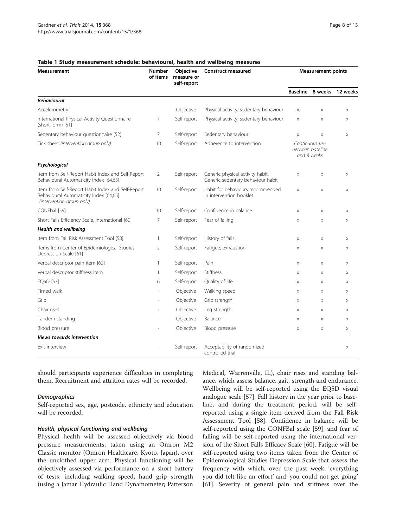| Measurement                                                                                                              | Number<br>of items | <b>Objective</b><br>measure or<br>self-report | Construct measured                                                    | <b>Measurement points</b>                         |                       |                           |
|--------------------------------------------------------------------------------------------------------------------------|--------------------|-----------------------------------------------|-----------------------------------------------------------------------|---------------------------------------------------|-----------------------|---------------------------|
|                                                                                                                          |                    |                                               |                                                                       |                                                   |                       | Baseline 8 weeks 12 weeks |
| <b>Behavioural</b>                                                                                                       |                    |                                               |                                                                       |                                                   |                       |                           |
| Accelerometry                                                                                                            |                    | Objective                                     | Physical activity, sedentary behaviour                                | Χ                                                 | X                     | X                         |
| International Physical Activity Questionnaire<br>(short form) [51]                                                       | 7                  | Self-report                                   | Physical activity, sedentary behaviour                                | X                                                 | $\boldsymbol{\times}$ | X                         |
| Sedentary behaviour questionnaire [52]                                                                                   | 7                  | Self-report                                   | Sedentary behaviour                                                   | X                                                 | X                     | X                         |
| Tick sheet (intervention group only)                                                                                     | 10                 | Self-report                                   | Adherence to intervention                                             | Continuous use<br>between baseline<br>and 8 weeks |                       |                           |
| Psychological                                                                                                            |                    |                                               |                                                                       |                                                   |                       |                           |
| Item from Self-Report Habit Index and Self-Report<br>Behavioural Automaticity Index [64,65]                              | $\overline{2}$     | Self-report                                   | Generic physical activity habit,<br>Generic sedentary behaviour habit | $\times$                                          | $\times$              | X                         |
| Item from Self-Report Habit Index and Self-Report<br>Behavioural Automaticity Index [64,65]<br>(intervention group only) | 10                 | Self-report                                   | Habit for behaviours recommended<br>in intervention booklet           | $\times$                                          | $\mathsf X$           | X                         |
| CONFbal [59]                                                                                                             | 10                 | Self-report                                   | Confidence in balance                                                 | X                                                 | X                     | X                         |
| Short Falls Efficiency Scale, International [60]                                                                         | 7                  | Self-report                                   | Fear of falling                                                       | $\times$                                          | X                     | X                         |
| Health and wellbeing                                                                                                     |                    |                                               |                                                                       |                                                   |                       |                           |
| Item from Fall Risk Assessment Tool [58]                                                                                 | 1                  | Self-report                                   | History of falls                                                      | $\boldsymbol{\mathsf{X}}$                         | X                     | X                         |
| Items from Center of Epidemiological Studies<br>Depression Scale [61]                                                    | 2                  | Self-report                                   | Fatique, exhaustion                                                   | X                                                 | $\times$              | X                         |
| Verbal descriptor pain item [62]                                                                                         | 1                  | Self-report                                   | Pain                                                                  | X                                                 | X                     | X                         |
| Verbal descriptor stiffness item                                                                                         | 1                  | Self-report                                   | Stiffness                                                             | X                                                 | X                     | X                         |
| EQ5D [57]                                                                                                                | 6                  | Self-report                                   | Quality of life                                                       | X                                                 | X                     | X                         |
| Timed walk                                                                                                               |                    | Objective                                     | Walking speed                                                         | X                                                 | X                     | X                         |
| Grip                                                                                                                     |                    | Objective                                     | Grip strength                                                         | X                                                 | X                     | X                         |
| Chair rises                                                                                                              |                    | Objective                                     | Leg strength                                                          | X                                                 | $\times$              | X                         |
| Tandem standing                                                                                                          |                    | Objective                                     | Balance                                                               | X                                                 | $\boldsymbol{\times}$ | X                         |
| Blood pressure                                                                                                           |                    | Objective                                     | Blood pressure                                                        | $\times$                                          | X                     | X                         |
| <b>Views towards intervention</b>                                                                                        |                    |                                               |                                                                       |                                                   |                       |                           |
| Exit interview                                                                                                           |                    | Self-report                                   | Acceptability of randomized<br>controlled trial                       |                                                   |                       | X                         |

#### <span id="page-7-0"></span>Table 1 Study measurement schedule: behavioural, health and wellbeing measures

should participants experience difficulties in completing them. Recruitment and attrition rates will be recorded.

#### **Demographics**

Self-reported sex, age, postcode, ethnicity and education will be recorded.

#### Health, physical functioning and wellbeing

Physical health will be assessed objectively via blood pressure measurements, taken using an Omron M2 Classic monitor (Omron Healthcare, Kyoto, Japan), over the unclothed upper arm. Physical functioning will be objectively assessed via performance on a short battery of tests, including walking speed, hand grip strength (using a Jamar Hydraulic Hand Dynamometer; Patterson Medical, Warrenville, IL), chair rises and standing balance, which assess balance, gait, strength and endurance. Wellbeing will be self-reported using the EQ5D visual analogue scale [[57](#page-12-0)]. Fall history in the year prior to baseline, and during the treatment period, will be selfreported using a single item derived from the Fall Risk Assessment Tool [\[58](#page-12-0)]. Confidence in balance will be self-reported using the CONFBal scale [\[59](#page-12-0)], and fear of falling will be self-reported using the international version of the Short Falls Efficacy Scale [\[60](#page-12-0)]. Fatigue will be self-reported using two items taken from the Center of Epidemiological Studies Depression Scale that assess the frequency with which, over the past week, 'everything you did felt like an effort' and 'you could not get going' [[61\]](#page-12-0). Severity of general pain and stiffness over the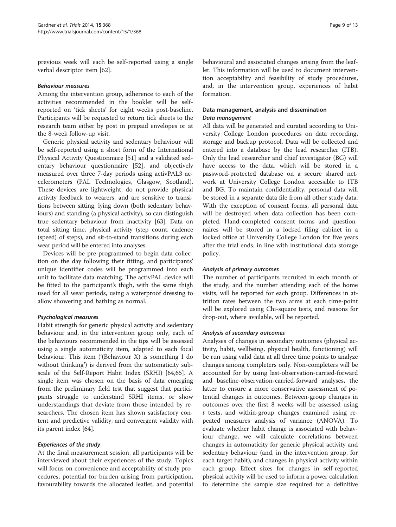previous week will each be self-reported using a single verbal descriptor item [[62\]](#page-12-0).

#### Behaviour measures

Among the intervention group, adherence to each of the activities recommended in the booklet will be selfreported on 'tick sheets' for eight weeks post-baseline. Participants will be requested to return tick sheets to the research team either by post in prepaid envelopes or at the 8-week follow-up visit.

Generic physical activity and sedentary behaviour will be self-reported using a short form of the International Physical Activity Questionnaire [[51\]](#page-12-0) and a validated sedentary behaviour questionnaire [[52\]](#page-12-0), and objectively measured over three 7-day periods using activPAL3 accelerometers (PAL Technologies, Glasgow, Scotland). These devices are lightweight, do not provide physical activity feedback to wearers, and are sensitive to transitions between sitting, lying down (both sedentary behaviours) and standing (a physical activity), so can distinguish true sedentary behaviour from inactivity [[63](#page-12-0)]. Data on total sitting time, physical activity (step count, cadence (speed) of steps), and sit-to-stand transitions during each wear period will be entered into analyses.

Devices will be pre-programmed to begin data collection on the day following their fitting, and participants' unique identifier codes will be programmed into each unit to facilitate data matching. The activPAL device will be fitted to the participant's thigh, with the same thigh used for all wear periods, using a waterproof dressing to allow showering and bathing as normal.

# Psychological measures

Habit strength for generic physical activity and sedentary behaviour and, in the intervention group only, each of the behaviours recommended in the tips will be assessed using a single automaticity item, adapted to each focal behaviour. This item ('(Behaviour X) is something I do without thinking') is derived from the automaticity subscale of the Self-Report Habit Index (SRHI) [\[64,65\]](#page-12-0). A single item was chosen on the basis of data emerging from the preliminary field test that suggest that participants struggle to understand SRHI items, or show understandings that deviate from those intended by researchers. The chosen item has shown satisfactory content and predictive validity, and convergent validity with its parent index [[64\]](#page-12-0).

# Experiences of the study

At the final measurement session, all participants will be interviewed about their experiences of the study. Topics will focus on convenience and acceptability of study procedures, potential for burden arising from participation, favourability towards the allocated leaflet, and potential behavioural and associated changes arising from the leaflet. This information will be used to document intervention acceptability and feasibility of study procedures, and, in the intervention group, experiences of habit formation.

# Data management, analysis and dissemination Data management

All data will be generated and curated according to University College London procedures on data recording, storage and backup protocol. Data will be collected and entered into a database by the lead researcher (ITB). Only the lead researcher and chief investigator (BG) will have access to the data, which will be stored in a password-protected database on a secure shared network at University College London accessible to ITB and BG. To maintain confidentiality, personal data will be stored in a separate data file from all other study data. With the exception of consent forms, all personal data will be destroyed when data collection has been completed. Hand-completed consent forms and questionnaires will be stored in a locked filing cabinet in a locked office at University College London for five years after the trial ends, in line with institutional data storage policy.

# Analysis of primary outcomes

The number of participants recruited in each month of the study, and the number attending each of the home visits, will be reported for each group. Differences in attrition rates between the two arms at each time-point will be explored using Chi-square tests, and reasons for drop-out, where available, will be reported.

# Analysis of secondary outcomes

Analyses of changes in secondary outcomes (physical activity, habit, wellbeing, physical health, functioning) will be run using valid data at all three time points to analyze changes among completers only. Non-completers will be accounted for by using last-observation-carried-forward and baseline-observation-carried-forward analyses, the latter to ensure a more conservative assessment of potential changes in outcomes. Between-group changes in outcomes over the first 8 weeks will be assessed using t tests, and within-group changes examined using repeated measures analysis of variance (ANOVA). To evaluate whether habit change is associated with behaviour change, we will calculate correlations between changes in automaticity for generic physical activity and sedentary behaviour (and, in the intervention group, for each target habit), and changes in physical activity within each group. Effect sizes for changes in self-reported physical activity will be used to inform a power calculation to determine the sample size required for a definitive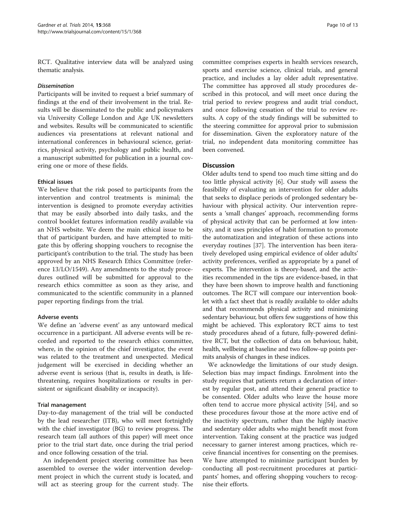RCT. Qualitative interview data will be analyzed using thematic analysis.

#### Dissemination

Participants will be invited to request a brief summary of findings at the end of their involvement in the trial. Results will be disseminated to the public and policymakers via University College London and Age UK newsletters and websites. Results will be communicated to scientific audiences via presentations at relevant national and international conferences in behavioural science, geriatrics, physical activity, psychology and public health, and a manuscript submitted for publication in a journal covering one or more of these fields.

#### Ethical issues

We believe that the risk posed to participants from the intervention and control treatments is minimal; the intervention is designed to promote everyday activities that may be easily absorbed into daily tasks, and the control booklet features information readily available via an NHS website. We deem the main ethical issue to be that of participant burden, and have attempted to mitigate this by offering shopping vouchers to recognise the participant's contribution to the trial. The study has been approved by an NHS Research Ethics Committee (reference 13/LO/1549). Any amendments to the study procedures outlined will be submitted for approval to the research ethics committee as soon as they arise, and communicated to the scientific community in a planned paper reporting findings from the trial.

#### Adverse events

We define an 'adverse event' as any untoward medical occurrence in a participant. All adverse events will be recorded and reported to the research ethics committee, where, in the opinion of the chief investigator, the event was related to the treatment and unexpected. Medical judgement will be exercised in deciding whether an adverse event is serious (that is, results in death, is lifethreatening, requires hospitalizations or results in persistent or significant disability or incapacity).

#### Trial management

Day-to-day management of the trial will be conducted by the lead researcher (ITB), who will meet fortnightly with the chief investigator (BG) to review progress. The research team (all authors of this paper) will meet once prior to the trial start date, once during the trial period and once following cessation of the trial.

An independent project steering committee has been assembled to oversee the wider intervention development project in which the current study is located, and will act as steering group for the current study. The

committee comprises experts in health services research, sports and exercise science, clinical trials, and general practice, and includes a lay older adult representative. The committee has approved all study procedures described in this protocol, and will meet once during the trial period to review progress and audit trial conduct, and once following cessation of the trial to review results. A copy of the study findings will be submitted to the steering committee for approval prior to submission for dissemination. Given the exploratory nature of the trial, no independent data monitoring committee has been convened.

# **Discussion**

Older adults tend to spend too much time sitting and do too little physical activity [[6\]](#page-11-0). Our study will assess the feasibility of evaluating an intervention for older adults that seeks to displace periods of prolonged sedentary behaviour with physical activity. Our intervention represents a 'small changes' approach, recommending forms of physical activity that can be performed at low intensity, and it uses principles of habit formation to promote the automatization and integration of these actions into everyday routines [\[37\]](#page-11-0). The intervention has been iteratively developed using empirical evidence of older adults' activity preferences, verified as appropriate by a panel of experts. The intervention is theory-based, and the activities recommended in the tips are evidence-based, in that they have been shown to improve health and functioning outcomes. The RCT will compare our intervention booklet with a fact sheet that is readily available to older adults and that recommends physical activity and minimizing sedentary behaviour, but offers few suggestions of how this might be achieved. This exploratory RCT aims to test study procedures ahead of a future, fully-powered definitive RCT, but the collection of data on behaviour, habit, health, wellbeing at baseline and two follow-up points permits analysis of changes in these indices.

We acknowledge the limitations of our study design. Selection bias may impact findings. Enrolment into the study requires that patients return a declaration of interest by regular post, and attend their general practice to be consented. Older adults who leave the house more often tend to accrue more physical activity [[54\]](#page-12-0), and so these procedures favour those at the more active end of the inactivity spectrum, rather than the highly inactive and sedentary older adults who might benefit most from intervention. Taking consent at the practice was judged necessary to garner interest among practices, which receive financial incentives for consenting on the premises. We have attempted to minimize participant burden by conducting all post-recruitment procedures at participants' homes, and offering shopping vouchers to recognise their efforts.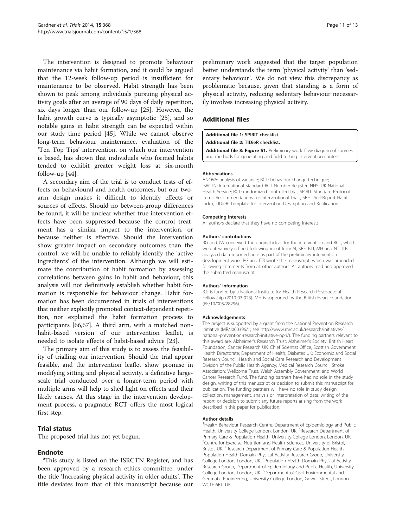<span id="page-10-0"></span>The intervention is designed to promote behaviour maintenance via habit formation, and it could be argued that the 12-week follow-up period is insufficient for maintenance to be observed. Habit strength has been shown to peak among individuals pursuing physical activity goals after an average of 90 days of daily repetition, six days longer than our follow-up [[25\]](#page-11-0). However, the habit growth curve is typically asymptotic [[25\]](#page-11-0), and so notable gains in habit strength can be expected within our study time period [\[45\]](#page-11-0). While we cannot observe long-term behaviour maintenance, evaluation of the 'Ten Top Tips' intervention, on which our intervention is based, has shown that individuals who formed habits tended to exhibit greater weight loss at six-month follow-up [[44\]](#page-11-0).

A secondary aim of the trial is to conduct tests of effects on behavioural and health outcomes, but our twoarm design makes it difficult to identify effects or sources of effects. Should no between-group differences be found, it will be unclear whether true intervention effects have been suppressed because the control treatment has a similar impact to the intervention, or because neither is effective. Should the intervention show greater impact on secondary outcomes than the control, we will be unable to reliably identify the 'active ingredients' of the intervention. Although we will estimate the contribution of habit formation by assessing correlations between gains in habit and behaviour, this analysis will not definitively establish whether habit formation is responsible for behaviour change. Habit formation has been documented in trials of interventions that neither explicitly promoted context-dependent repetition, nor explained the habit formation process to participants [\[66,67](#page-12-0)]. A third arm, with a matched nonhabit-based version of our intervention leaflet, is needed to isolate effects of habit-based advice [\[23](#page-11-0)].

The primary aim of this study is to assess the feasibility of trialling our intervention. Should the trial appear feasible, and the intervention leaflet show promise in modifying sitting and physical activity, a definitive largescale trial conducted over a longer-term period with multiple arms will help to shed light on effects and their likely causes. At this stage in the intervention development process, a pragmatic RCT offers the most logical first step.

# Trial status

The proposed trial has not yet begun.

# **Endnote**

<sup>a</sup>This study is listed on the ISRCTN Register, and has been approved by a research ethics committee, under the title 'Increasing physical activity in older adults'. The title deviates from that of this manuscript because our

preliminary work suggested that the target population better understands the term 'physical activity' than 'sedentary behaviour'. We do not view this discrepancy as problematic because, given that standing is a form of physical activity, reducing sedentary behaviour necessarily involves increasing physical activity.

# Additional files

[Additional file 1:](http://www.biomedcentral.com/content/supplementary/1745-6215-15-368-S1.docx) SPIRIT checklist.

[Additional file 2:](http://www.biomedcentral.com/content/supplementary/1745-6215-15-368-S2.docx) TIDieR checklist.

[Additional file 3: Figure S1.](http://www.biomedcentral.com/content/supplementary/1745-6215-15-368-S3.docx) Preliminary work: flow diagram of sources and methods for generating and field testing intervention content.

#### Abbreviations

ANOVA: analysis of variance; BCT: behaviour change technique; ISRCTN: International Standard RCT Number Register; NHS: UK National Health Service; RCT: randomized controlled trial; SPIRIT: Standard Protocol Items: Recommendations for Interventional Trials; SRHI: Self-Report Habit Index; TIDieR: Template for Intervention Description and Replication.

#### Competing interests

All authors declare that they have no competing interests.

#### Authors' contributions

BG and JW conceived the original ideas for the intervention and RCT, which were iteratively refined following input from SI, KRF, BJJ, MH and NT. ITB analyzed data reported here as part of the preliminary intervention development work. BG and ITB wrote the manuscript, which was amended following comments from all other authors. All authors read and approved the submitted manuscript.

#### Authors' information

BJJ is funded by a National Institute for Health Research Postdoctoral Fellowship (2010-03-023). MH is supported by the British Heart Foundation (RE/10/005/28296).

#### Acknowledgements

The project is supported by a grant from the National Prevention Research Initiative (MR/J000396/1; see [http://www.mrc.ac.uk/research/initiatives/](http://www.mrc.ac.uk/research/initiatives/national-prevention-research-initiative-npri/) [national-prevention-research-initiative-npri/\)](http://www.mrc.ac.uk/research/initiatives/national-prevention-research-initiative-npri/). The funding partners relevant to this award are: Alzheimer's Research Trust; Alzheimer's Society; British Heart Foundation; Cancer Research UK; Chief Scientist Office, Scottish Government Health Directorate; Department of Health; Diabetes UK; Economic and Social Research Council; Health and Social Care Research and Development Division of the Public Health Agency; Medical Research Council; Stroke Association; Wellcome Trust; Welsh Assembly Government; and World Cancer Research Fund. The funding partners have had no role in the study design, writing of this manuscript or decision to submit this manuscript for publication. The funding partners will have no role in study design; collection, management, analysis or interpretation of data; writing of the report; or decision to submit any future reports arising from the work described in this paper for publication.

#### Author details

<sup>1</sup>Health Behaviour Research Centre, Department of Epidemiology and Public Health, University College London, London, UK. <sup>2</sup>Research Department of Primary Care & Population Health, University College London, London, UK. <sup>3</sup> Centre for Exercise, Nutrition and Health Sciences, University of Bristol, Bristol, UK. <sup>4</sup>Research Department of Primary Care & Population Health Population Health Domain Physical Activity Research Group, University College London, London, UK.<sup>5</sup> Population Health Domain Physical Activity Research Group, Department of Epidemiology and Public Health, University College London, London, UK. <sup>6</sup>Department of Civil, Environmental and Geomatic Engineering, University College London, Gower Street, London WC1E 6BT, UK.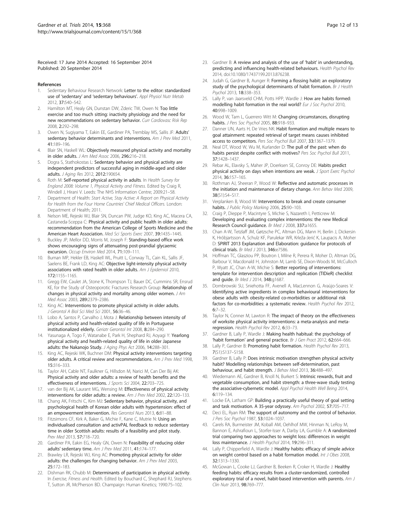<span id="page-11-0"></span>Received: 17 June 2014 Accepted: 16 September 2014 Published: 20 September 2014

#### References

- 1. Sedentary Behaviour Research Network: Letter to the editor: standardized use of 'sedentary' and 'sedentary behaviours'. Appl Physiol Nutr Metab 2012, 37:540–542.
- Hamilton MT, Healy GN, Dunstan DW, Zderic TW, Owen N: Too little exercise and too much sitting: inactivity physiology and the need for new recommendations on sedentary behavior. Curr Cardiovasc Risk Rep 2008, 2:292–298.
- 3. Owen N, Sugiyama T, Eakin EE, Gardiner PA, Tremblay MS, Sallis JF: Adults' sedentary behavior determinants and interventions. Am J Prev Med 2011, 41:189–196.
- 4. Blair SN, Haskell WL: Objectively measured physical activity and mortality in older adults. J Am Med Assoc 2006, 296:216–218.
- 5. Dogra S, Stathokostas L: Sedentary behavior and physical activity are independent predictors of successful aging in middle-aged and older adults. J Aging Res 2012, 2012:190654.
- 6. Roth M: Self-reported physical activity in adults. In Health Survey for England 2008: Volume 1, Physical Activity and Fitness. Edited by Craig R, Windell J, Hirani V. Leeds: The NHS Information Centre; 2009:21–58.
- 7. Department of Health: Start Active, Stay Active: A Report on Physical Activity for Health from the Four Home Countries' Chief Medical Officers. London: Department of Health; 2011.
- 8. Nelson ME, Rejeski WJ, Blair SN, Duncan PW, Judge KO, King AC, Macera CA, Castaneda-Sceppa C: Physical activity and public health in older adults: recommendation from the American College of Sports Medicine and the American Heart Association. Med Sci Sports Exerc 2007, 39:1435-1445.
- 9. Buckley JP, Mellor DD, Morris M, Joseph F: Standing-based office work shows encouraging signs of attenuating post-prandial glycaemic excursion. Occup Environ Med 2014, 71:109–111.
- 10. Buman MP, Hekler EB, Haskell WL, Pruitt L, Conway TL, Cain KL, Sallis JF, Saelens BE, Frank LD, King AC: Objective light-intensity physical activity associations with rated health in older adults. Am J Epidemiol 2010, 172:1155–1165.
- 11. Gregg EW, Caulet JA, Stone K, Thompson TJ, Bauer DC, Cummins SR, Ensrud KE, for the Study of Osteoporotic Fractures Research Group: Relationship of changes in physical activity and mortality among older women. J Am Med Assoc 2003, 289:2379–2386.
- 12. King AC: Interventions to promote physical activity in older adults. J Gerontol A Biol Sci Med Sci 2001, 56:36–46.
- 13. Lobo A, Santos P, Carvalho J, Mota J: Relationship between intensity of physical activity and health-related quality of life in Portuguese institutionalized elderly. Geriatr Gerontol Int 2008, 8:284–290.
- 14. Yasunaga A, Togo F, Watanabe E, Park H, Shephard RJ, Aoyagi Y: Yearlong physical activity and health-related quality of life in older Japanese adults: the Nakanojo Study. J Aging Phys Act 2006, 14:288-301
- 15. King AC, Rejeski WK, Buchner DM: Physical activity interventions targeting older adults. A critical review and recommendations. Am J Prev Med 1998, 15:316–333.
- 16. Taylor AH, Cable NT, Faulkner G, Hillsdon M, Narici M, Can Der Bij AK: Physical activity and older adults: a review of health benefits and the effectiveness of interventions. J Sports Sci 2004, 22:703-725.
- 17. van der Bij AK, Laurant MG, Wensing M: Effectiveness of physical activity interventions for older adults: a review. Am J Prev Med 2002, 22:120–133.
- 18. Chang AK, Fritschi C, Kim MJ: Sedentary behavior, physical activity, and psychological health of Korean older adults with hypertension: effect of an empowerment intervention. Res Gerontol Nurs 2013, 6:81–88.
- 19. Fitzsimons CF, Kirk A, Baker G, Michie F, Kane C, Mutrie N: Using an individualised consultation and activPAL feedback to reduce sedentary time in older Scottish adults: results of a feasibility and pilot study. Prev Med 2013, 57:718–720.
- 20. Gardiner PA, Eakin EG, Healy GN, Owen N: Feasibility of reducing older adults' sedentary time. Am J Prev Med 2011, 41:174-177
- 21. Brawley LR, Rejeski WJ, King AC: Promoting physical activity for older adults: the challenges for changing behavior. Am J Prev Med 2003, 25:172–183.
- 22. Dishman RK, Chubb M: Determinants of participation in physical activity. In Exercise, Fitness and Health. Edited by Bouchard C, Shephard RJ, Stephens T, Sutton JR, McPherson BD. Champaign: Human Kinetics; 1990:75–102.
- 23. Gardner B: A review and analysis of the use of 'habit' in understanding, predicting and influencing health-related behaviours. Health Psychol Rev 2014, doi:10.1080/17437199.2013.876238.
- 24. Judah G, Gardner B, Aunger R: Forming a flossing habit: an exploratory study of the psychological determinants of habit formation. Br J Health Psychol 2013, 18:338–353.
- 25. Lally P, van Jaarsveld CHM, Potts HPP, Wardle J: How are habits formed: modelling habit formation in the real world? Eur J Soc Psychol 2010, 40:998–1009.
- 26. Wood W, Tam L, Guerrero Witt M: Changing circumstances, disrupting habits. J Pers Soc Psychol 2005, 88:918-933.
- 27. Danner UN, Aarts H, De Vries NK: Habit formation and multiple means to goal attainment: repeated retrieval of target means causes inhibited access to competitors. Pers Soc Psychol Bull 2007, 33:1367–1379.
- 28. Neal DT, Wood W, Wu M, Kurlander D: The pull of the past: when do habits persist despite conflict with motives? Pers Soc Psychol Bull 2011, 37:1428–1437.
- 29. Rebar AL, Elavsky S, Maher JP, Doerksen SE, Conroy DE: Habits predict physical activity on days when intentions are weak. J Sport Exerc Psychol 2014, 36:157–165.
- 30. Rothman AJ, Sheeran P, Wood W: Reflective and automatic processes in the initiation and maintenance of dietary change. Ann Behav Med 2009, 38(S1):S4–S17.
- 31. Verplanken B, Wood W: Interventions to break and create consumer habits. J Public Policy Marking 2006, 25:90-103.
- 32. Craig P, Dieppe P, Macintyre S, Michie S, Nazareth I, Petticrew M: Developing and evaluating complex interventions: the new Medical Research Council guidance. Br Med J 2008, 337:a1655.
- 33. Chan A-W, Tetzlaff JM, Gøtzsche PC, Altman DG, Mann H, Berlin J, Dickersin K, Hróbjartsson A, Schulz KF, Parulekar WR, Krleža-Jerić K, Laupacis A, Moher D: SPIRIT 2013 Explanation and Elaboration: guidance for protocols of clinical trials. Br Med J 2013, 346:e7586.
- 34. Hoffman TC, Glasziou PP, Boutron I, Milne R, Perera R, Moher D, Altman DG, Barbour V, Macdonald H, Johnston M, Lamb SE, Dixon-Woods M, McCulloch P, Wyatt JC, Chan A-W, Michie S: Better reporting of interventions: template for intervention description and replication (TIDieR) checklist and quide. Br Med J 2014, 348:q1687.
- 35. Dombrowski SU, Sniehotta FF, Avenell A, MacLennon G, Araùjo-Soares V: Identifying active ingredients in complex behavioural interventions for obese adults with obesity-related co-morbidities or additional risk factors for co-morbidities: a systematic review. Health Psychol Rev 2012, 6:7–32.
- 36. Taylor N, Conner M, Lawton R: The impact of theory on the effectiveness of worksite physical activity interventions: a meta-analysis and metaregression. Health Psychol Rev 2012, 6:33–73.
- 37. Gardner B, Lally P, Wardle J: Making health habitual: the psychology of 'habit formation' and general practice. Br J Gen Pract 2012, 62:664–666.
- 38. Lally P, Gardner B: Promoting habit formation. Health Psychol Rev 2013, 7(S1):S137–S158.
- 39. Gardner B, Lally P: Does intrinsic motivation strengthen physical activity habit? Modelling relationships between self-determination, past behaviour, and habit strength. J Behav Med 2013, 36:488-497
- 40. Wiedemann AE, Gardner B, Knoll N, Burkert S: Intrinsic rewards, fruit and vegetable consumption, and habit strength: a three-wave study testing the associative-cybernetic model. Appl Psychol Health Well Being 2014, 6:119–134.
- 41. Locke EA, Latham GP: Building a practically useful theory of goal setting and task motivation. A 35-year odyssey. Am Psychol 2002, 57:705–717.
- 42. Deci EL, Ryan RM: The support of autonomy and the control of behavior. J Pers Soc Psychol 1987, 53:1024–1037.
- 43. Carels RA, Burmeister JM, Koball AM, Oehlhof MW, Hinman N, LeRoy M, Bannon E, Ashrafioun L, Storfer-Isser A, Darby LA, Gumble A: A randomized trial comparing two approaches to weight loss: differences in weight loss maintenance. J Health Psychol 2014, 19:296–311.
- 44. Lally P, Chipperfield A, Wardle J: Healthy habits: efficacy of simple advice on weight control based on a habit formation model. Int J Obes 2008, 32:1313–1330.
- 45. McGowan L, Cooke LJ, Gardner B, Beeken R, Croker H, Wardle J: Healthy feeding habits: efficacy results from a cluster-randomized, controlled exploratory trial of a novel, habit-based intervention with parents. Am J Clin Nutr 2013, 98:769–777.